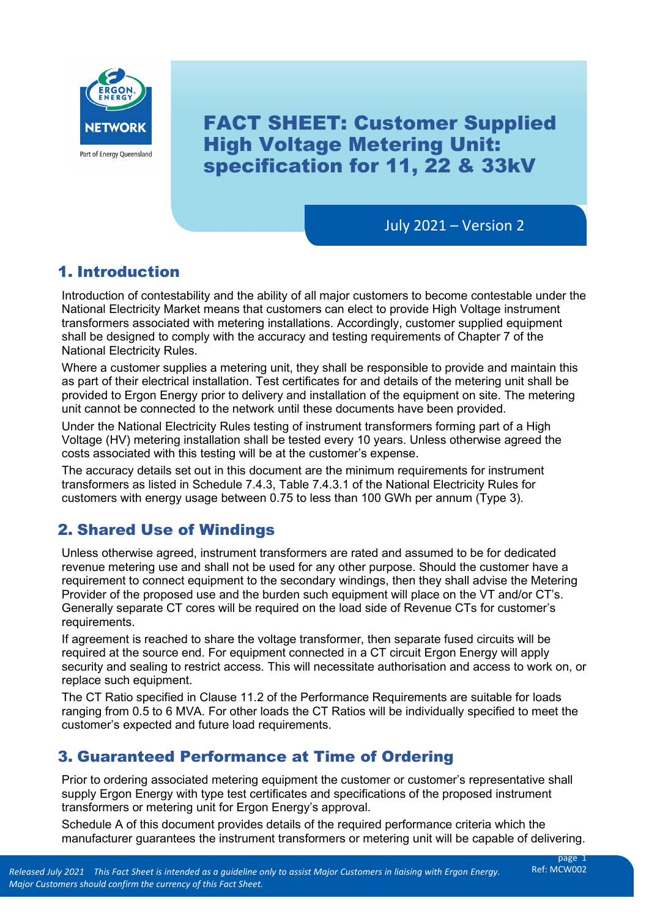

FACT SHEET: Customer Supplied High Voltage Metering Unit: specification for 11, 22 & 33kV

July 2021 – Version 2

# 1. Introduction

 National Electricity Market means that customers can elect to provide High Voltage instrument Introduction of contestability and the ability of all major customers to become contestable under the transformers associated with metering installations. Accordingly, customer supplied equipment shall be designed to comply with the accuracy and testing requirements of Chapter 7 of the National Electricity Rules.

 as part of their electrical installation. Test certificates for and details of the metering unit shall be Where a customer supplies a metering unit, they shall be responsible to provide and maintain this provided to Ergon Energy prior to delivery and installation of the equipment on site. The metering unit cannot be connected to the network until these documents have been provided.

costs associated with this testing will be at the customer's expense. Under the National Electricity Rules testing of instrument transformers forming part of a High Voltage (HV) metering installation shall be tested every 10 years. Unless otherwise agreed the

 transformers as listed in Schedule 7.4.3, Table 7.4.3.1 of the National Electricity Rules for customers with energy usage between 0.75 to less than 100 GWh per annum (Type 3). The accuracy details set out in this document are the minimum requirements for instrument

# 2. Shared Use of Windings

Unless otherwise agreed, instrument transformers are rated and assumed to be for dedicated revenue metering use and shall not be used for any other purpose. Should the customer have a requirement to connect equipment to the secondary windings, then they shall advise the Metering Provider of the proposed use and the burden such equipment will place on the VT and/or CT's. Generally separate CT cores will be required on the load side of Revenue CTs for customer's requirements.

If agreement is reached to share the voltage transformer, then separate fused circuits will be required at the source end. For equipment connected in a CT circuit Ergon Energy will apply security and sealing to restrict access. This will necessitate authorisation and access to work on, or replace such equipment.

 ranging from 0.5 to 6 MVA. For other loads the CT Ratios will be individually specified to meet the The CT Ratio specified in Clause 11.2 of the Performance Requirements are suitable for loads customer's expected and future load requirements.

## 3. Guaranteed Performance at Time of Ordering

 transformers or metering unit for Ergon Energy's approval. Prior to ordering associated metering equipment the customer or customer's representative shall supply Ergon Energy with type test certificates and specifications of the proposed instrument

Schedule A of this document provides details of the required performance criteria which the manufacturer guarantees the instrument transformers or metering unit will be capable of delivering.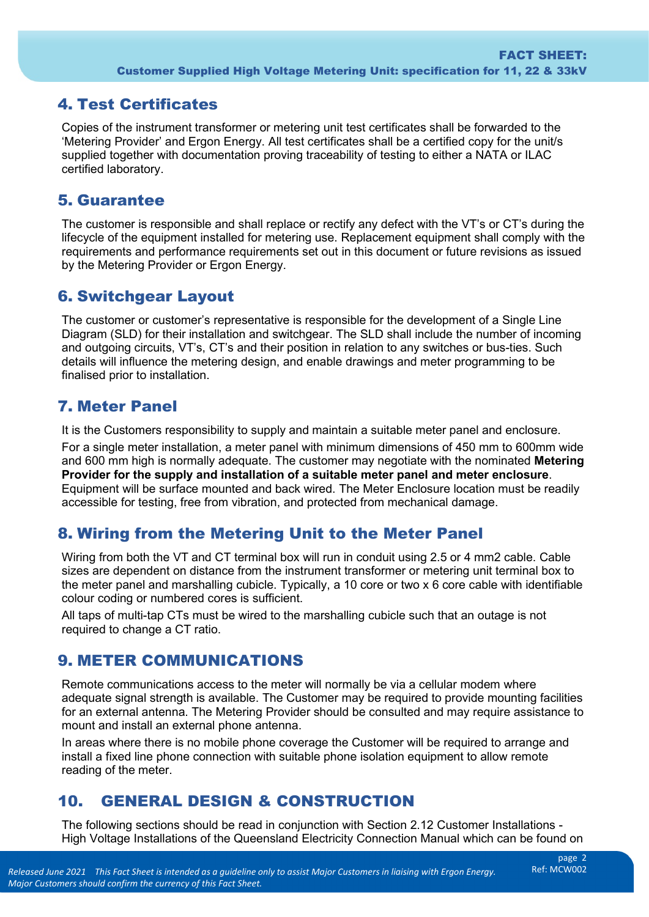## 4. Test Certificates

 Copies of the instrument transformer or metering unit test certificates shall be forwarded to the 'Metering Provider' and Ergon Energy. All test certificates shall be a certified copy for the unit/s supplied together with documentation proving traceability of testing to either a NATA or ILAC certified laboratory.

### 5. Guarantee

The customer is responsible and shall replace or rectify any defect with the VT's or CT's during the lifecycle of the equipment installed for metering use. Replacement equipment shall comply with the requirements and performance requirements set out in this document or future revisions as issued by the Metering Provider or Ergon Energy.

### 6. Switchgear Layout

 Diagram (SLD) for their installation and switchgear. The SLD shall include the number of incoming The customer or customer's representative is responsible for the development of a Single Line and outgoing circuits, VT's, CT's and their position in relation to any switches or bus-ties. Such details will influence the metering design, and enable drawings and meter programming to be finalised prior to installation.

### 7. Meter Panel

It is the Customers responsibility to supply and maintain a suitable meter panel and enclosure.

 For a single meter installation, a meter panel with minimum dimensions of 450 mm to 600mm wide accessible for testing, free from vibration, and protected from mechanical damage. and 600 mm high is normally adequate. The customer may negotiate with the nominated **Metering Provider for the supply and installation of a suitable meter panel and meter enclosure**. Equipment will be surface mounted and back wired. The Meter Enclosure location must be readily

## 8. Wiring from the Metering Unit to the Meter Panel

 sizes are dependent on distance from the instrument transformer or metering unit terminal box to Wiring from both the VT and CT terminal box will run in conduit using 2.5 or 4 mm2 cable. Cable the meter panel and marshalling cubicle. Typically, a 10 core or two x 6 core cable with identifiable colour coding or numbered cores is sufficient.

All taps of multi-tap CTs must be wired to the marshalling cubicle such that an outage is not required to change a CT ratio.

## 9. METER COMMUNICATIONS

 for an external antenna. The Metering Provider should be consulted and may require assistance to Remote communications access to the meter will normally be via a cellular modem where adequate signal strength is available. The Customer may be required to provide mounting facilities mount and install an external phone antenna.

In areas where there is no mobile phone coverage the Customer will be required to arrange and install a fixed line phone connection with suitable phone isolation equipment to allow remote reading of the meter.

## 10. GENERAL DESIGN & CONSTRUCTION

 High Voltage Installations of the Queensland Electricity Connection Manual which can be found on The following sections should be read in conjunction with Section 2.12 Customer Installations -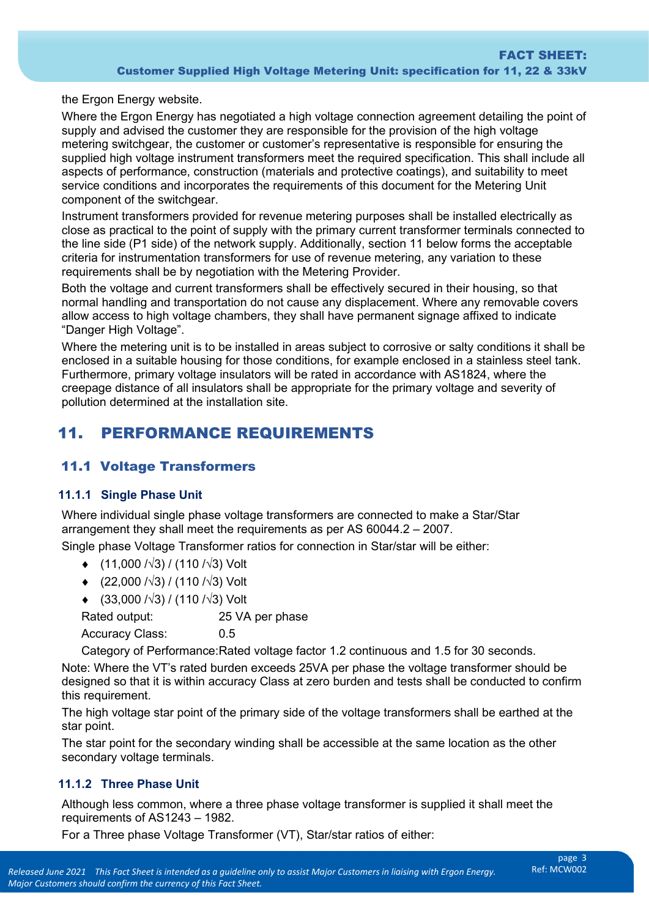the Ergon Energy website.

 Where the Ergon Energy has negotiated a high voltage connection agreement detailing the point of aspects of performance, construction (materials and protective coatings), and suitability to meet supply and advised the customer they are responsible for the provision of the high voltage metering switchgear, the customer or customer's representative is responsible for ensuring the supplied high voltage instrument transformers meet the required specification. This shall include all service conditions and incorporates the requirements of this document for the Metering Unit component of the switchgear.

 Instrument transformers provided for revenue metering purposes shall be installed electrically as close as practical to the point of supply with the primary current transformer terminals connected to requirements shall be by negotiation with the Metering Provider. the line side (P1 side) of the network supply. Additionally, section 11 below forms the acceptable criteria for instrumentation transformers for use of revenue metering, any variation to these

requirements shall be by negotiation with the Metering Provider.<br>Both the voltage and current transformers shall be effectively secured in their housing, so that "Danger High Voltage". normal handling and transportation do not cause any displacement. Where any removable covers allow access to high voltage chambers, they shall have permanent signage affixed to indicate

"Danger High Voltage".<br>Where the metering unit is to be installed in areas subject to corrosive or salty conditions it shall be enclosed in a suitable housing for those conditions, for example enclosed in a stainless steel tank. Furthermore, primary voltage insulators will be rated in accordance with AS1824, where the creepage distance of all insulators shall be appropriate for the primary voltage and severity of pollution determined at the installation site.

## 11. PERFORMANCE REQUIREMENTS

#### 11.1 Voltage Transformers

#### **11.1.1 Single Phase Unit**

Where individual single phase voltage transformers are connected to make a Star/Star arrangement they shall meet the requirements as per AS 60044.2 – 2007.

Single phase Voltage Transformer ratios for connection in Star/star will be either:

- ♦ (11,000 /√3) / (110 /√3) Volt
- ♦ (22,000 /√3) / (110 /√3) Volt
- ♦ (33,000 /√3) / (110 /√3) Volt

Rated output: 25 VA per phase

Accuracy Class: 0.5

Category of Performance:Rated voltage factor 1.2 continuous and 1.5 for 30 seconds.

 designed so that it is within accuracy Class at zero burden and tests shall be conducted to confirm Note: Where the VT's rated burden exceeds 25VA per phase the voltage transformer should be this requirement.

The high voltage star point of the primary side of the voltage transformers shall be earthed at the star point.

The star point for the secondary winding shall be accessible at the same location as the other secondary voltage terminals.

#### **11.1.2 Three Phase Unit**

 requirements of AS1243 – 1982. Although less common, where a three phase voltage transformer is supplied it shall meet the

For a Three phase Voltage Transformer (VT), Star/star ratios of either: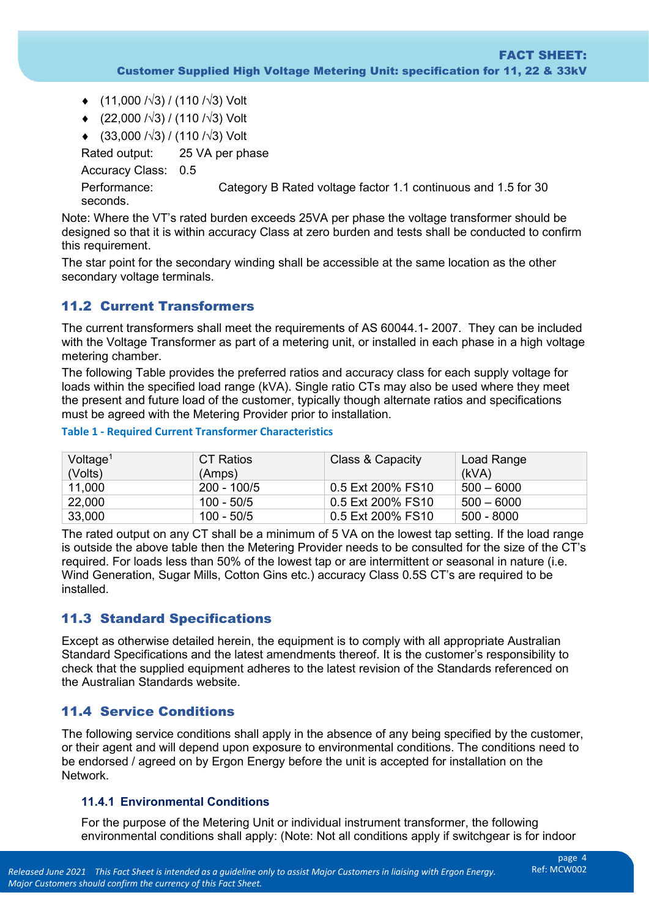- ♦ (11,000 /√3) / (110 /√3) Volt
- ♦ (22,000 /√3) / (110 /√3) Volt
- ♦ (33,000 /√3) / (110 /√3) Volt

Rated output: Accuracy Class: 0.5 Performance: 25 VA per phase Category B Rated voltage factor 1.1 continuous and 1.5 for 30 seconds.

 designed so that it is within accuracy Class at zero burden and tests shall be conducted to confirm Note: Where the VT's rated burden exceeds 25VA per phase the voltage transformer should be this requirement.

The star point for the secondary winding shall be accessible at the same location as the other secondary voltage terminals.

### 11.2 Current Transformers

The current transformers shall meet the requirements of AS 60044.1- 2007. They can be included with the Voltage Transformer as part of a metering unit, or installed in each phase in a high voltage metering chamber.

The following Table provides the preferred ratios and accuracy class for each supply voltage for loads within the specified load range (kVA). Single ratio CTs may also be used where they meet the present and future load of the customer, typically though alternate ratios and specifications must be agreed with the Metering Provider prior to installation.

#### **Table 1 - Required Current Transformer Characteristics**

| Voltage <sup>1</sup><br>(Volts) | CT Ratios<br>(Amps) | Class & Capacity  | Load Range<br>(kVA) |
|---------------------------------|---------------------|-------------------|---------------------|
| 11,000                          | 200 - 100/5         | 0.5 Ext 200% FS10 | $500 - 6000$        |
| 22,000                          | 100 - 50/5          | 0.5 Ext 200% FS10 | $500 - 6000$        |
| 33,000                          | 100 - 50/5          | 0.5 Ext 200% FS10 | 500 - 8000          |

The rated output on any CT shall be a minimum of 5 VA on the lowest tap setting. If the load range is outside the above table then the Metering Provider needs to be consulted for the size of the CT's required. For loads less than 50% of the lowest tap or are intermittent or seasonal in nature (i.e. Wind Generation, Sugar Mills, Cotton Gins etc.) accuracy Class 0.5S CT's are required to be installed.

### 11.3 Standard Specifications

 check that the supplied equipment adheres to the latest revision of the Standards referenced on Except as otherwise detailed herein, the equipment is to comply with all appropriate Australian Standard Specifications and the latest amendments thereof. It is the customer's responsibility to the Australian Standards website.

### 11.4 Service Conditions

The following service conditions shall apply in the absence of any being specified by the customer, or their agent and will depend upon exposure to environmental conditions. The conditions need to be endorsed / agreed on by Ergon Energy before the unit is accepted for installation on the Network.

#### **11.4.1 Environmental Conditions**

For the purpose of the Metering Unit or individual instrument transformer, the following environmental conditions shall apply: (Note: Not all conditions apply if switchgear is for indoor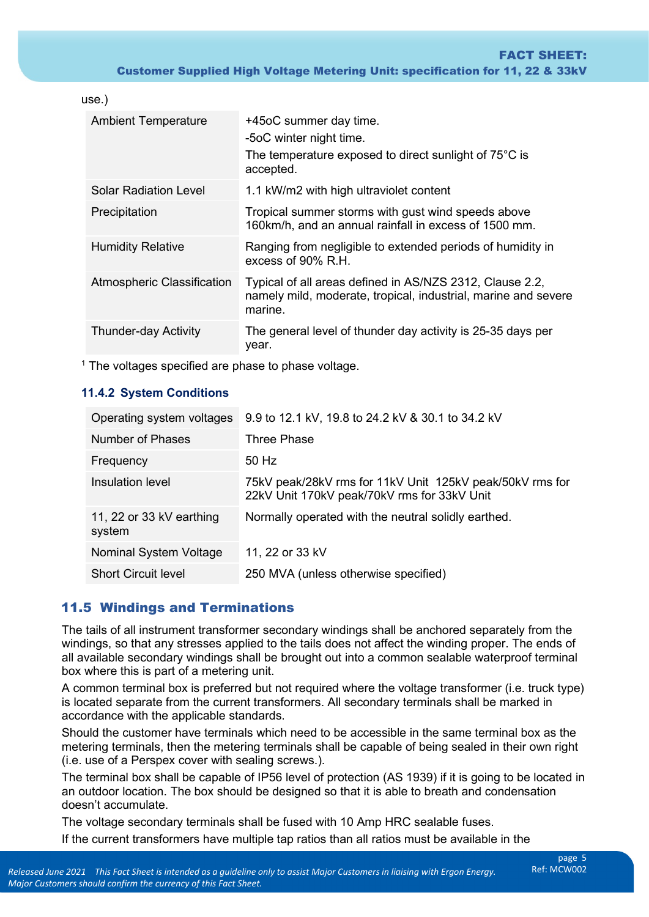| use.)                        |                                                                                                                                       |
|------------------------------|---------------------------------------------------------------------------------------------------------------------------------------|
| <b>Ambient Temperature</b>   | +45oC summer day time.<br>-5oC winter night time.<br>The temperature exposed to direct sunlight of 75°C is<br>accepted.               |
| <b>Solar Radiation Level</b> | 1.1 kW/m2 with high ultraviolet content                                                                                               |
| Precipitation                | Tropical summer storms with gust wind speeds above<br>160km/h, and an annual rainfall in excess of 1500 mm.                           |
| <b>Humidity Relative</b>     | Ranging from negligible to extended periods of humidity in<br>excess of 90% R.H.                                                      |
| Atmospheric Classification   | Typical of all areas defined in AS/NZS 2312, Clause 2.2,<br>namely mild, moderate, tropical, industrial, marine and severe<br>marine. |
| <b>Thunder-day Activity</b>  | The general level of thunder day activity is 25-35 days per<br>year.                                                                  |

 $<sup>1</sup>$  The voltages specified are phase to phase voltage.</sup>

#### **11.4.2 System Conditions**

| Operating system voltages          | 9.9 to 12.1 kV, 19.8 to 24.2 kV & 30.1 to 34.2 kV                                                       |
|------------------------------------|---------------------------------------------------------------------------------------------------------|
| Number of Phases                   | Three Phase                                                                                             |
| Frequency                          | 50 Hz                                                                                                   |
| Insulation level                   | 75kV peak/28kV rms for 11kV Unit 125kV peak/50kV rms for<br>22kV Unit 170kV peak/70kV rms for 33kV Unit |
| 11, 22 or 33 kV earthing<br>system | Normally operated with the neutral solidly earthed.                                                     |
| Nominal System Voltage             | 11, 22 or 33 kV                                                                                         |
| <b>Short Circuit level</b>         | 250 MVA (unless otherwise specified)                                                                    |

### 11.5 Windings and Terminations

 The tails of all instrument transformer secondary windings shall be anchored separately from the box where this is part of a metering unit. windings, so that any stresses applied to the tails does not affect the winding proper. The ends of all available secondary windings shall be brought out into a common sealable waterproof terminal

box where this is part of a metering unit.<br>A common terminal box is preferred but not required where the voltage transformer (i.e. truck type) is located separate from the current transformers. All secondary terminals shall be marked in accordance with the applicable standards.

Should the customer have terminals which need to be accessible in the same terminal box as the metering terminals, then the metering terminals shall be capable of being sealed in their own right (i.e. use of a Perspex cover with sealing screws.).

The terminal box shall be capable of IP56 level of protection (AS 1939) if it is going to be located in an outdoor location. The box should be designed so that it is able to breath and condensation doesn't accumulate.

The voltage secondary terminals shall be fused with 10 Amp HRC sealable fuses. If the current transformers have multiple tap ratios than all ratios must be available in the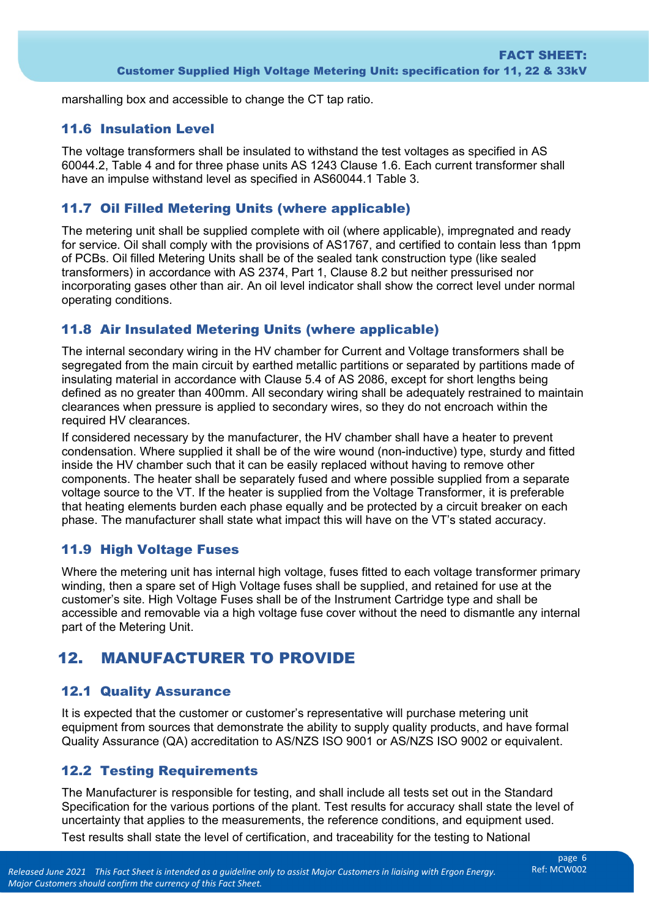marshalling box and accessible to change the CT tap ratio.

### 11.6 Insulation Level

 60044.2, Table 4 and for three phase units AS 1243 Clause 1.6. Each current transformer shall The voltage transformers shall be insulated to withstand the test voltages as specified in AS have an impulse withstand level as specified in AS60044.1 Table 3.

### 11.7 Oil Filled Metering Units (where applicable)

The metering unit shall be supplied complete with oil (where applicable), impregnated and ready for service. Oil shall comply with the provisions of AS1767, and certified to contain less than 1ppm of PCBs. Oil filled Metering Units shall be of the sealed tank construction type (like sealed transformers) in accordance with AS 2374, Part 1, Clause 8.2 but neither pressurised nor incorporating gases other than air. An oil level indicator shall show the correct level under normal operating conditions.

### 11.8 Air Insulated Metering Units (where applicable)

 The internal secondary wiring in the HV chamber for Current and Voltage transformers shall be segregated from the main circuit by earthed metallic partitions or separated by partitions made of insulating material in accordance with Clause 5.4 of AS 2086, except for short lengths being defined as no greater than 400mm. All secondary wiring shall be adequately restrained to maintain clearances when pressure is applied to secondary wires, so they do not encroach within the required HV clearances.

 If considered necessary by the manufacturer, the HV chamber shall have a heater to prevent condensation. Where supplied it shall be of the wire wound (non-inductive) type, sturdy and fitted inside the HV chamber such that it can be easily replaced without having to remove other components. The heater shall be separately fused and where possible supplied from a separate voltage source to the VT. If the heater is supplied from the Voltage Transformer, it is preferable that heating elements burden each phase equally and be protected by a circuit breaker on each phase. The manufacturer shall state what impact this will have on the VT's stated accuracy.

### 11.9 High Voltage Fuses

Where the metering unit has internal high voltage, fuses fitted to each voltage transformer primary winding, then a spare set of High Voltage fuses shall be supplied, and retained for use at the customer's site. High Voltage Fuses shall be of the Instrument Cartridge type and shall be accessible and removable via a high voltage fuse cover without the need to dismantle any internal part of the Metering Unit.

## 12. MANUFACTURER TO PROVIDE

### 12.1 Quality Assurance

 It is expected that the customer or customer's representative will purchase metering unit equipment from sources that demonstrate the ability to supply quality products, and have formal Quality Assurance (QA) accreditation to AS/NZS ISO 9001 or AS/NZS ISO 9002 or equivalent.

### 12.2 Testing Requirements

The Manufacturer is responsible for testing, and shall include all tests set out in the Standard Specification for the various portions of the plant. Test results for accuracy shall state the level of uncertainty that applies to the measurements, the reference conditions, and equipment used. Test results shall state the level of certification, and traceability for the testing to National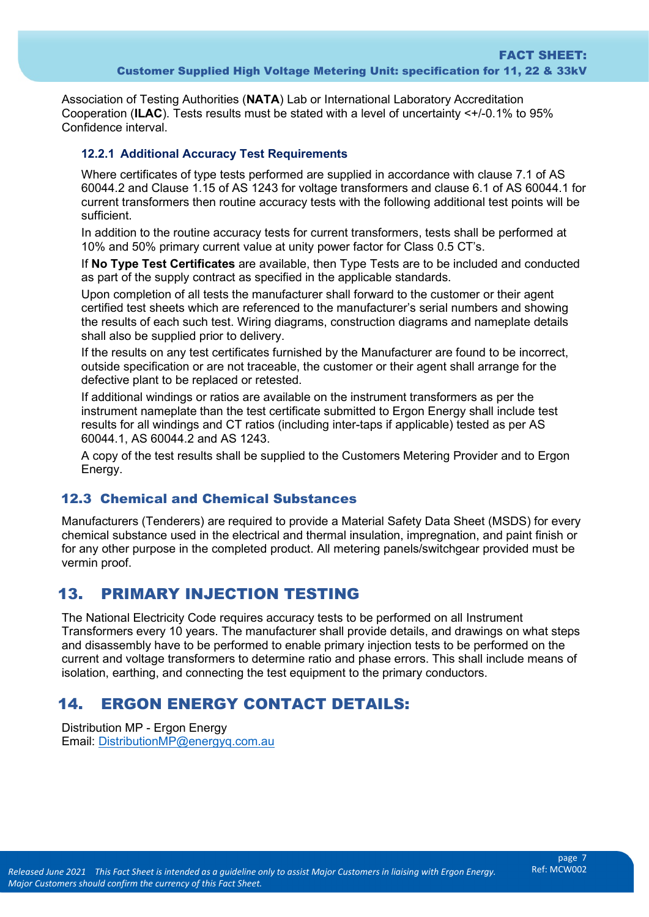Association of Testing Authorities (**NATA**) Lab or International Laboratory Accreditation Cooperation (**ILAC**). Tests results must be stated with a level of uncertainty <+/-0.1% to 95% Confidence interval.

#### **12.2.1 Additional Accuracy Test Requirements**

 current transformers then routine accuracy tests with the following additional test points will be Where certificates of type tests performed are supplied in accordance with clause 7.1 of AS 60044.2 and Clause 1.15 of AS 1243 for voltage transformers and clause 6.1 of AS 60044.1 for sufficient.

 10% and 50% primary current value at unity power factor for Class 0.5 CT's. In addition to the routine accuracy tests for current transformers, tests shall be performed at

If **No Type Test Certificates** are available, then Type Tests are to be included and conducted as part of the supply contract as specified in the applicable standards.

 Upon completion of all tests the manufacturer shall forward to the customer or their agent shall also be supplied prior to delivery. certified test sheets which are referenced to the manufacturer's serial numbers and showing the results of each such test. Wiring diagrams, construction diagrams and nameplate details

 If the results on any test certificates furnished by the Manufacturer are found to be incorrect, outside specification or are not traceable, the customer or their agent shall arrange for the defective plant to be replaced or retested.

 If additional windings or ratios are available on the instrument transformers as per the instrument nameplate than the test certificate submitted to Ergon Energy shall include test results for all windings and CT ratios (including inter-taps if applicable) tested as per AS 60044.1, AS 60044.2 and AS 1243.

 A copy of the test results shall be supplied to the Customers Metering Provider and to Ergon Energy.

#### 12.3 Chemical and Chemical Substances

Manufacturers (Tenderers) are required to provide a Material Safety Data Sheet (MSDS) for every chemical substance used in the electrical and thermal insulation, impregnation, and paint finish or for any other purpose in the completed product. All metering panels/switchgear provided must be vermin proof.

## 13. PRIMARY INJECTION TESTING

 The National Electricity Code requires accuracy tests to be performed on all Instrument Transformers every 10 years. The manufacturer shall provide details, and drawings on what steps and disassembly have to be performed to enable primary injection tests to be performed on the current and voltage transformers to determine ratio and phase errors. This shall include means of isolation, earthing, and connecting the test equipment to the primary conductors.

## 14. ERGON ENERGY CONTACT DETAILS:

Distribution MP - Ergon Energy Email: [DistributionMP@energyq.com.au](mailto:DistributionMP@energyq.com.au)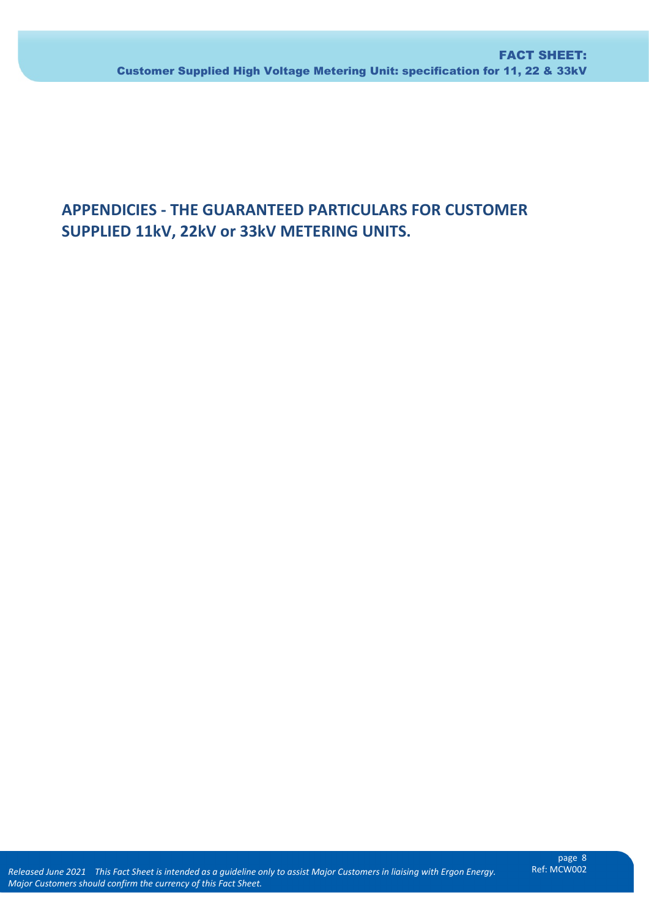# **APPENDICIES - THE GUARANTEED PARTICULARS FOR CUSTOMER SUPPLIED 11kV, 22kV or 33kV METERING UNITS.**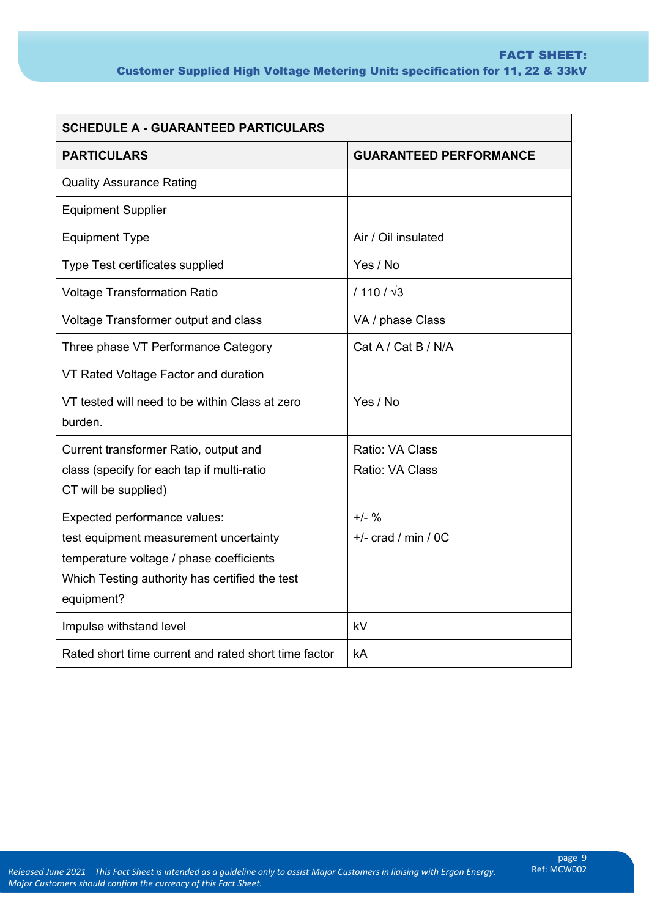| <b>SCHEDULE A - GUARANTEED PARTICULARS</b>                                                                                                                                         |                                    |  |  |  |
|------------------------------------------------------------------------------------------------------------------------------------------------------------------------------------|------------------------------------|--|--|--|
| <b>PARTICULARS</b>                                                                                                                                                                 | <b>GUARANTEED PERFORMANCE</b>      |  |  |  |
| <b>Quality Assurance Rating</b>                                                                                                                                                    |                                    |  |  |  |
| <b>Equipment Supplier</b>                                                                                                                                                          |                                    |  |  |  |
| <b>Equipment Type</b>                                                                                                                                                              | Air / Oil insulated                |  |  |  |
| Type Test certificates supplied                                                                                                                                                    | Yes / No                           |  |  |  |
| <b>Voltage Transformation Ratio</b>                                                                                                                                                | $/110 / \sqrt{3}$                  |  |  |  |
| Voltage Transformer output and class                                                                                                                                               | VA / phase Class                   |  |  |  |
| Three phase VT Performance Category                                                                                                                                                | Cat A / Cat B / N/A                |  |  |  |
| VT Rated Voltage Factor and duration                                                                                                                                               |                                    |  |  |  |
| VT tested will need to be within Class at zero<br>burden.                                                                                                                          | Yes / No                           |  |  |  |
| Current transformer Ratio, output and<br>class (specify for each tap if multi-ratio<br>CT will be supplied)                                                                        | Ratio: VA Class<br>Ratio: VA Class |  |  |  |
| Expected performance values:<br>test equipment measurement uncertainty<br>temperature voltage / phase coefficients<br>Which Testing authority has certified the test<br>equipment? | $+/-$ %<br>$+/-$ crad / min / 0C   |  |  |  |
| Impulse withstand level                                                                                                                                                            | kV                                 |  |  |  |
| Rated short time current and rated short time factor                                                                                                                               | kA                                 |  |  |  |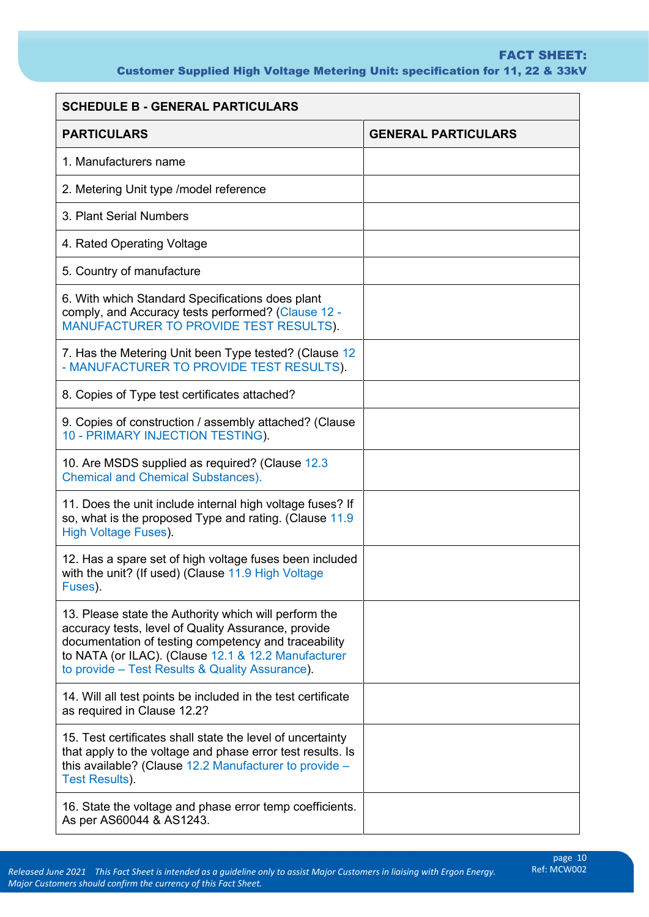#### Customer Supplied High Voltage Metering Unit: specification for 11, 22 & 33kV FACT SHEET:

| <b>SCHEDULE B - GENERAL PARTICULARS</b>                                                                                                                                                                                                                                        |                            |  |
|--------------------------------------------------------------------------------------------------------------------------------------------------------------------------------------------------------------------------------------------------------------------------------|----------------------------|--|
| <b>PARTICULARS</b>                                                                                                                                                                                                                                                             | <b>GENERAL PARTICULARS</b> |  |
| 1. Manufacturers name                                                                                                                                                                                                                                                          |                            |  |
| 2. Metering Unit type /model reference                                                                                                                                                                                                                                         |                            |  |
| 3. Plant Serial Numbers                                                                                                                                                                                                                                                        |                            |  |
| 4. Rated Operating Voltage                                                                                                                                                                                                                                                     |                            |  |
| 5. Country of manufacture                                                                                                                                                                                                                                                      |                            |  |
| 6. With which Standard Specifications does plant<br>comply, and Accuracy tests performed? (Clause 12 -<br>MANUFACTURER TO PROVIDE TEST RESULTS).                                                                                                                               |                            |  |
| 7. Has the Metering Unit been Type tested? (Clause 12<br>- MANUFACTURER TO PROVIDE TEST RESULTS).                                                                                                                                                                              |                            |  |
| 8. Copies of Type test certificates attached?                                                                                                                                                                                                                                  |                            |  |
| 9. Copies of construction / assembly attached? (Clause<br>10 - PRIMARY INJECTION TESTING).                                                                                                                                                                                     |                            |  |
| 10. Are MSDS supplied as required? (Clause 12.3<br><b>Chemical and Chemical Substances).</b>                                                                                                                                                                                   |                            |  |
| 11. Does the unit include internal high voltage fuses? If<br>so, what is the proposed Type and rating. (Clause 11.9)<br><b>High Voltage Fuses).</b>                                                                                                                            |                            |  |
| 12. Has a spare set of high voltage fuses been included<br>with the unit? (If used) (Clause 11.9 High Voltage<br>Fuses).                                                                                                                                                       |                            |  |
| 13. Please state the Authority which will perform the<br>accuracy tests, level of Quality Assurance, provide<br>documentation of testing competency and traceability<br>to NATA (or ILAC). (Clause 12.1 & 12.2 Manufacturer<br>to provide – Test Results & Quality Assurance). |                            |  |
| 14. Will all test points be included in the test certificate<br>as required in Clause 12.2?                                                                                                                                                                                    |                            |  |
| 15. Test certificates shall state the level of uncertainty<br>that apply to the voltage and phase error test results. Is<br>this available? (Clause $12.2$ Manufacturer to provide $-$<br><b>Test Results).</b>                                                                |                            |  |
| 16. State the voltage and phase error temp coefficients.<br>As per AS60044 & AS1243.                                                                                                                                                                                           |                            |  |